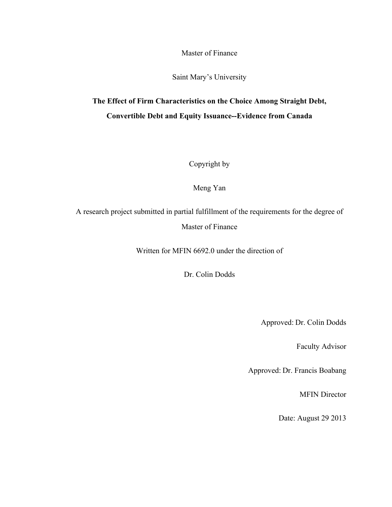Master of Finance

Saint Mary's University

# **The Effect of Firm Characteristics on the Choice Among Straight Debt, Convertible Debt and Equity Issuance--Evidence from Canada**

Copyright by

Meng Yan

A research project submitted in partial fulfillment of the requirements for the degree of Master of Finance

Written for MFIN 6692.0 under the direction of

Dr. Colin Dodds

Approved: Dr. Colin Dodds

Faculty Advisor

Approved: Dr. Francis Boabang

MFIN Director

Date: August 29 2013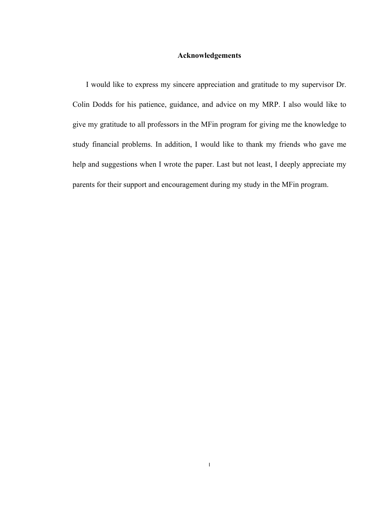## **Acknowledgements**

I would like to express my sincere appreciation and gratitude to my supervisor Dr. Colin Dodds for his patience, guidance, and advice on my MRP. I also would like to give my gratitude to all professors in the MFin program for giving me the knowledge to study financial problems. In addition, I would like to thank my friends who gave me help and suggestions when I wrote the paper. Last but not least, I deeply appreciate my parents for their support and encouragement during my study in the MFin program.

I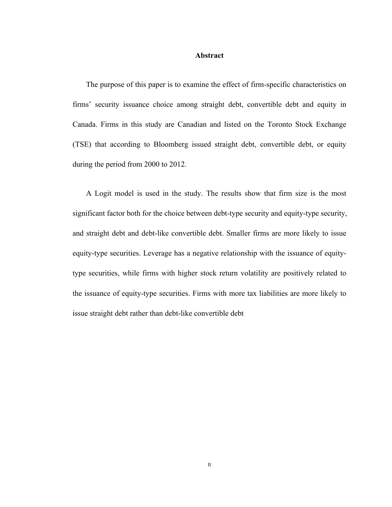#### **Abstract**

The purpose of this paper is to examine the effect of firm-specific characteristics on firms' security issuance choice among straight debt, convertible debt and equity in Canada. Firms in this study are Canadian and listed on the Toronto Stock Exchange (TSE) that according to Bloomberg issued straight debt, convertible debt, or equity during the period from 2000 to 2012.

A Logit model is used in the study. The results show that firm size is the most significant factor both for the choice between debt-type security and equity-type security, and straight debt and debt-like convertible debt. Smaller firms are more likely to issue equity-type securities. Leverage has a negative relationship with the issuance of equitytype securities, while firms with higher stock return volatility are positively related to the issuance of equity-type securities. Firms with more tax liabilities are more likely to issue straight debt rather than debt-like convertible debt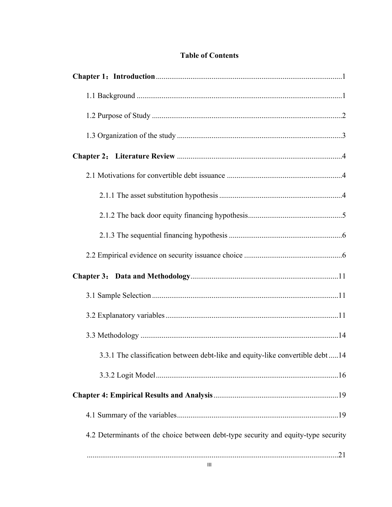# **Table of Contents**

| 3.3.1 The classification between debt-like and equity-like convertible debt14      |
|------------------------------------------------------------------------------------|
|                                                                                    |
|                                                                                    |
|                                                                                    |
| 4.2 Determinants of the choice between debt-type security and equity-type security |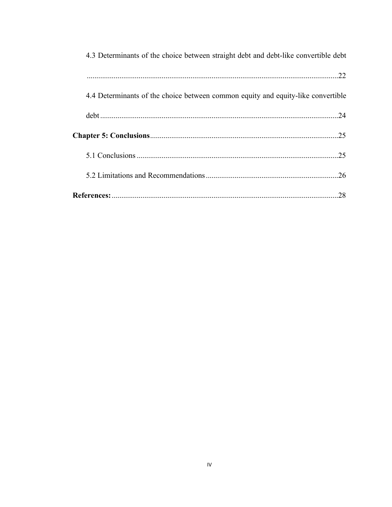| 4.3 Determinants of the choice between straight debt and debt-like convertible debt |    |
|-------------------------------------------------------------------------------------|----|
|                                                                                     | 22 |
| 4.4 Determinants of the choice between common equity and equity-like convertible    |    |
|                                                                                     | 24 |
|                                                                                     | 25 |
|                                                                                     | 25 |
|                                                                                     | 26 |
|                                                                                     | 28 |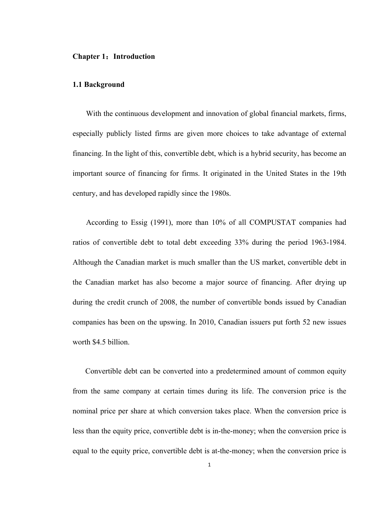## <span id="page-5-1"></span><span id="page-5-0"></span>**Chapter 1:Introduction**

#### **1.1 Background**

With the continuous development and innovation of global financial markets, firms, especially publicly listed firms are given more choices to take advantage of external financing. In the light of this, convertible debt, which is a hybrid security, has become an important source of financing for firms. It originated in the United States in the 19th century, and has developed rapidly since the 1980s.

According to Essig (1991), more than 10% of all COMPUSTAT companies had ratios of convertible debt to total debt exceeding 33% during the period 1963-1984. Although the Canadian market is much smaller than the US market, convertible debt in the Canadian market has also become a major source of financing. After drying up during the credit crunch of 2008, the number of convertible bonds issued by Canadian companies has been on the upswing. In 2010, Canadian issuers put forth 52 new issues worth \$4.5 billion.

Convertible debt can be converted into a predetermined amount of common equity from the same company at certain times during its life. The conversion price is the nominal price per share at which conversion takes place. When the conversion price is less than the equity price, convertible debt is in-the-money; when the conversion price is equal to the equity price, convertible debt is at-the-money; when the conversion price is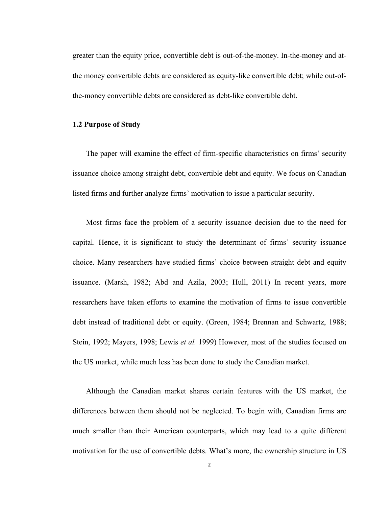greater than the equity price, convertible debt is out-of-the-money. In-the-money and atthe money convertible debts are considered as equity-like convertible debt; while out-ofthe-money convertible debts are considered as debt-like convertible debt.

#### <span id="page-6-0"></span>**1.2 Purpose of Study**

The paper will examine the effect of firm-specific characteristics on firms' security issuance choice among straight debt, convertible debt and equity. We focus on Canadian listed firms and further analyze firms' motivation to issue a particular security.

Most firms face the problem of a security issuance decision due to the need for capital. Hence, it is significant to study the determinant of firms' security issuance choice. Many researchers have studied firms' choice between straight debt and equity issuance. (Marsh, 1982; Abd and Azila, 2003; Hull, 2011) In recent years, more researchers have taken efforts to examine the motivation of firms to issue convertible debt instead of traditional debt or equity. (Green, 1984; Brennan and Schwartz, 1988; Stein, 1992; Mayers, 1998; Lewis *et al.* 1999) However, most of the studies focused on the US market, while much less has been done to study the Canadian market.

Although the Canadian market shares certain features with the US market, the differences between them should not be neglected. To begin with, Canadian firms are much smaller than their American counterparts, which may lead to a quite different motivation for the use of convertible debts. What's more, the ownership structure in US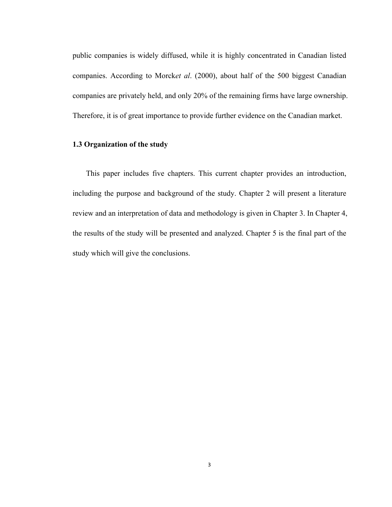public companies is widely diffused, while it is highly concentrated in Canadian listed companies. According to Morck*et al*. (2000), about half of the 500 biggest Canadian companies are privately held, and only 20% of the remaining firms have large ownership. Therefore, it is of great importance to provide further evidence on the Canadian market.

# <span id="page-7-0"></span>**1.3 Organization of the study**

This paper includes five chapters. This current chapter provides an introduction, including the purpose and background of the study. Chapter 2 will present a literature review and an interpretation of data and methodology is given in Chapter 3. In Chapter 4, the results of the study will be presented and analyzed. Chapter 5 is the final part of the study which will give the conclusions.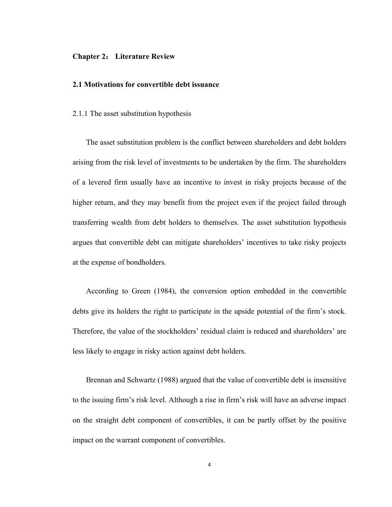## <span id="page-8-0"></span>**Chapter 2: Literature Review**

## <span id="page-8-1"></span>**2.1 Motivations for convertible debt issuance**

#### <span id="page-8-2"></span>2.1.1 The asset substitution hypothesis

The asset substitution problem is the conflict between shareholders and debt holders arising from the risk level of investments to be undertaken by the firm. The shareholders of a levered firm usually have an incentive to invest in risky projects because of the higher return, and they may benefit from the project even if the project failed through transferring wealth from debt holders to themselves. The asset substitution hypothesis argues that convertible debt can mitigate shareholders' incentives to take risky projects at the expense of bondholders.

According to Green (1984), the conversion option embedded in the convertible debts give its holders the right to participate in the upside potential of the firm's stock. Therefore, the value of the stockholders' residual claim is reduced and shareholders' are less likely to engage in risky action against debt holders.

Brennan and Schwartz (1988) argued that the value of convertible debt is insensitive to the issuing firm's risk level. Although a rise in firm's risk will have an adverse impact on the straight debt component of convertibles, it can be partly offset by the positive impact on the warrant component of convertibles.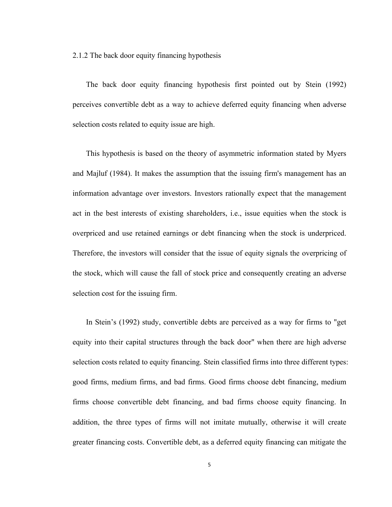<span id="page-9-0"></span>2.1.2 The back door equity financing hypothesis

The back door equity financing hypothesis first pointed out by Stein (1992) perceives convertible debt as a way to achieve deferred equity financing when adverse selection costs related to equity issue are high.

This hypothesis is based on the theory of asymmetric information stated by Myers and Majluf (1984). It makes the assumption that the issuing firm's management has an information advantage over investors. Investors rationally expect that the management act in the best interests of existing shareholders, i.e., issue equities when the stock is overpriced and use retained earnings or debt financing when the stock is underpriced. Therefore, the investors will consider that the issue of equity signals the overpricing of the stock, which will cause the fall of stock price and consequently creating an adverse selection cost for the issuing firm.

In Stein's (1992) study, convertible debts are perceived as a way for firms to "get equity into their capital structures through the back door" when there are high adverse selection costs related to equity financing. Stein classified firms into three different types: good firms, medium firms, and bad firms. Good firms choose debt financing, medium firms choose convertible debt financing, and bad firms choose equity financing. In addition, the three types of firms will not imitate mutually, otherwise it will create greater financing costs. Convertible debt, as a deferred equity financing can mitigate the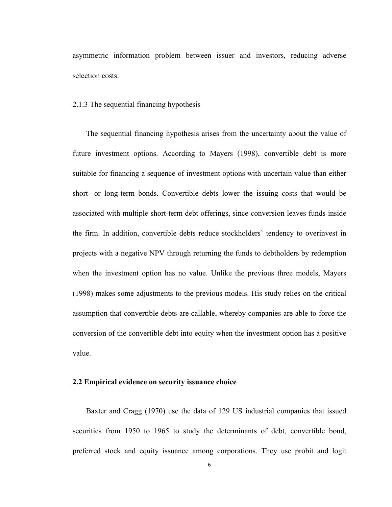asymmetric information problem between issuer and investors, reducing adverse selection costs.

#### <span id="page-10-0"></span>2.1.3 The sequential financing hypothesis

The sequential financing hypothesis arises from the uncertainty about the value of future investment options. According to Mayers (1998), convertible debt is more suitable for financing a sequence of investment options with uncertain value than either short- or long-term bonds. Convertible debts lower the issuing costs that would be associated with multiple short-term debt offerings, since conversion leaves funds inside the firm. In addition, convertible debts reduce stockholders' tendency to overinvest in projects with a negative NPV through returning the funds to debtholders by redemption when the investment option has no value. Unlike the previous three models, Mayers (1998) makes some adjustments to the previous models. His study relies on the critical assumption that convertible debts are callable, whereby companies are able to force the conversion of the convertible debt into equity when the investment option has a positive value.

## <span id="page-10-1"></span>**2.2 Empirical evidence on security issuance choice**

Baxter and Cragg (1970) use the data of 129 US industrial companies that issued securities from 1950 to 1965 to study the determinants of debt, convertible bond, preferred stock and equity issuance among corporations. They use probit and logit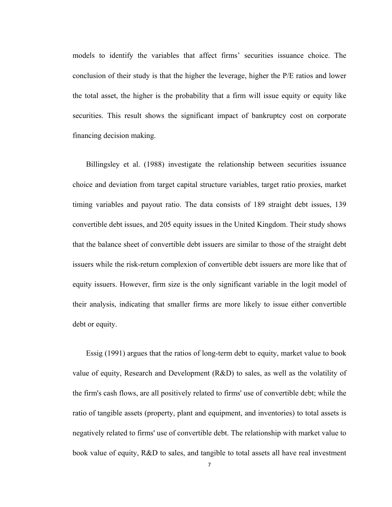models to identify the variables that affect firms' securities issuance choice. The conclusion of their study is that the higher the leverage, higher the P/E ratios and lower the total asset, the higher is the probability that a firm will issue equity or equity like securities. This result shows the significant impact of bankruptcy cost on corporate financing decision making.

Billingsley et al. (1988) investigate the relationship between securities issuance choice and deviation from target capital structure variables, target ratio proxies, market timing variables and payout ratio. The data consists of 189 straight debt issues, 139 convertible debt issues, and 205 equity issues in the United Kingdom. Their study shows that the balance sheet of convertible debt issuers are similar to those of the straight debt issuers while the risk-return complexion of convertible debt issuers are more like that of equity issuers. However, firm size is the only significant variable in the logit model of their analysis, indicating that smaller firms are more likely to issue either convertible debt or equity.

Essig (1991) argues that the ratios of long-term debt to equity, market value to book value of equity, Research and Development (R&D) to sales, as well as the volatility of the firm's cash flows, are all positively related to firms' use of convertible debt; while the ratio of tangible assets (property, plant and equipment, and inventories) to total assets is negatively related to firms' use of convertible debt. The relationship with market value to book value of equity, R&D to sales, and tangible to total assets all have real investment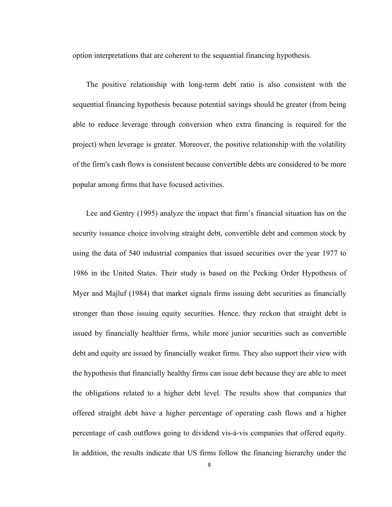option interpretations that are coherent to the sequential financing hypothesis.

The positive relationship with long-term debt ratio is also consistent with the sequential financing hypothesis because potential savings should be greater (from being able to reduce leverage through conversion when extra financing is required for the project) when leverage is greater. Moreover, the positive relationship with the volatility of the firm's cash flows is consistent because convertible debts are considered to be more popular among firms that have focused activities.

Lee and Gentry (1995) analyze the impact that firm's financial situation has on the security issuance choice involving straight debt, convertible debt and common stock by using the data of 540 industrial companies that issued securities over the year 1977 to 1986 in the United States. Their study is based on the Pecking Order Hypothesis of Myer and Majluf (1984) that market signals firms issuing debt securities as financially stronger than those issuing equity securities. Hence, they reckon that straight debt is issued by financially healthier firms, while more junior securities such as convertible debt and equity are issued by financially weaker firms. They also support their view with the hypothesis that financially healthy firms can issue debt because they are able to meet the obligations related to a higher debt level. The results show that companies that offered straight debt have a higher percentage of operating cash flows and a higher percentage of cash outflows going to dividend vis-à-vis companies that offered equity. In addition, the results indicate that US firms follow the financing hierarchy under the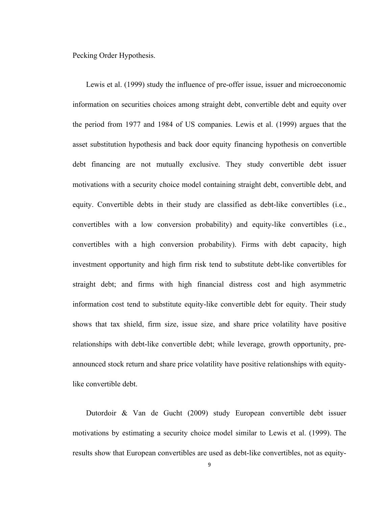Pecking Order Hypothesis.

Lewis et al. (1999) study the influence of pre-offer issue, issuer and microeconomic information on securities choices among straight debt, convertible debt and equity over the period from 1977 and 1984 of US companies. Lewis et al. (1999) argues that the asset substitution hypothesis and back door equity financing hypothesis on convertible debt financing are not mutually exclusive. They study convertible debt issuer motivations with a security choice model containing straight debt, convertible debt, and equity. Convertible debts in their study are classified as debt-like convertibles (i.e., convertibles with a low conversion probability) and equity-like convertibles (i.e., convertibles with a high conversion probability). Firms with debt capacity, high investment opportunity and high firm risk tend to substitute debt-like convertibles for straight debt; and firms with high financial distress cost and high asymmetric information cost tend to substitute equity-like convertible debt for equity. Their study shows that tax shield, firm size, issue size, and share price volatility have positive relationships with debt-like convertible debt; while leverage, growth opportunity, preannounced stock return and share price volatility have positive relationships with equitylike convertible debt.

Dutordoir & Van de Gucht (2009) study European convertible debt issuer motivations by estimating a security choice model similar to Lewis et al. (1999). The results show that European convertibles are used as debt-like convertibles, not as equity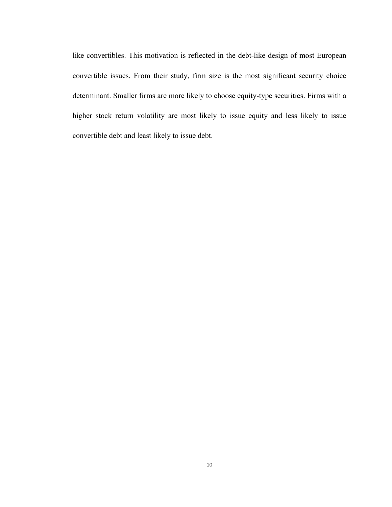like convertibles. This motivation is reflected in the debt-like design of most European convertible issues. From their study, firm size is the most significant security choice determinant. Smaller firms are more likely to choose equity-type securities. Firms with a higher stock return volatility are most likely to issue equity and less likely to issue convertible debt and least likely to issue debt.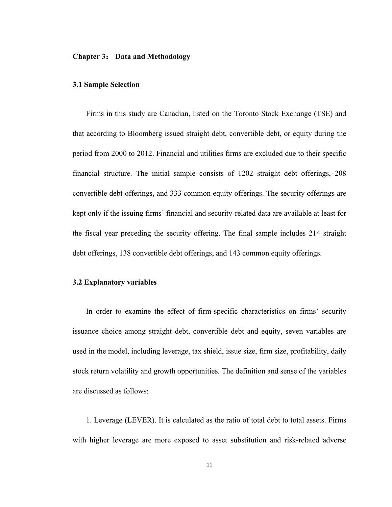## <span id="page-15-0"></span>**Chapter 3: Data and Methodology**

## <span id="page-15-1"></span>**3.1 Sample Selection**

Firms in this study are Canadian, listed on the Toronto Stock Exchange (TSE) and that according to Bloomberg issued straight debt, convertible debt, or equity during the period from 2000 to 2012. Financial and utilities firms are excluded due to their specific financial structure. The initial sample consists of 1202 straight debt offerings, 208 convertible debt offerings, and 333 common equity offerings. The security offerings are kept only if the issuing firms' financial and security-related data are available at least for the fiscal year preceding the security offering. The final sample includes 214 straight debt offerings, 138 convertible debt offerings, and 143 common equity offerings.

#### <span id="page-15-2"></span>**3.2 Explanatory variables**

In order to examine the effect of firm-specific characteristics on firms' security issuance choice among straight debt, convertible debt and equity, seven variables are used in the model, including leverage, tax shield, issue size, firm size, profitability, daily stock return volatility and growth opportunities. The definition and sense of the variables are discussed as follows:

1. Leverage (LEVER). It is calculated as the ratio of total debt to total assets. Firms with higher leverage are more exposed to asset substitution and risk-related adverse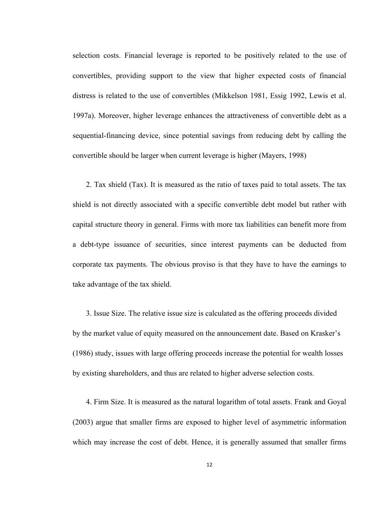selection costs. Financial leverage is reported to be positively related to the use of convertibles, providing support to the view that higher expected costs of financial distress is related to the use of convertibles (Mikkelson 1981, Essig 1992, Lewis et al. 1997a). Moreover, higher leverage enhances the attractiveness of convertible debt as a sequential-financing device, since potential savings from reducing debt by calling the convertible should be larger when current leverage is higher (Mayers, 1998)

2. Tax shield (Tax). It is measured as the ratio of taxes paid to total assets. The tax shield is not directly associated with a specific convertible debt model but rather with capital structure theory in general. Firms with more tax liabilities can benefit more from a debt-type issuance of securities, since interest payments can be deducted from corporate tax payments. The obvious proviso is that they have to have the earnings to take advantage of the tax shield.

3. Issue Size. The relative issue size is calculated as the offering proceeds divided by the market value of equity measured on the announcement date. Based on Krasker's (1986) study, issues with large offering proceeds increase the potential for wealth losses by existing shareholders, and thus are related to higher adverse selection costs.

4. Firm Size. It is measured as the natural logarithm of total assets. Frank and Goyal (2003) argue that smaller firms are exposed to higher level of asymmetric information which may increase the cost of debt. Hence, it is generally assumed that smaller firms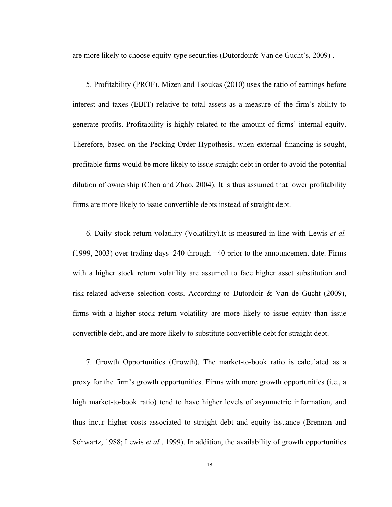are more likely to choose equity-type securities (Dutordoir& Van de Gucht's, 2009) .

5. Profitability (PROF). Mizen and Tsoukas (2010) uses the ratio of earnings before interest and taxes (EBIT) relative to total assets as a measure of the firm's ability to generate profits. Profitability is highly related to the amount of firms' internal equity. Therefore, based on the Pecking Order Hypothesis, when external financing is sought, profitable firms would be more likely to issue straight debt in order to avoid the potential dilution of ownership (Chen and Zhao, 2004). It is thus assumed that lower profitability firms are more likely to issue convertible debts instead of straight debt.

6. Daily stock return volatility (Volatility).It is measured in line with Lewis *et al.* (1999, 2003) over trading days−240 through −40 prior to the announcement date. Firms with a higher stock return volatility are assumed to face higher asset substitution and risk-related adverse selection costs. According to Dutordoir & Van de Gucht (2009), firms with a higher stock return volatility are more likely to issue equity than issue convertible debt, and are more likely to substitute convertible debt for straight debt.

7. Growth Opportunities (Growth). The market-to-book ratio is calculated as a proxy for the firm's growth opportunities. Firms with more growth opportunities (i.e., a high market-to-book ratio) tend to have higher levels of asymmetric information, and thus incur higher costs associated to straight debt and equity issuance (Brennan and Schwartz, 1988; Lewis *et al.*, 1999). In addition, the availability of growth opportunities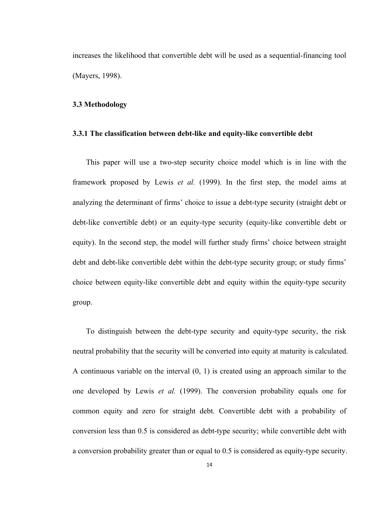increases the likelihood that convertible debt will be used as a sequential-financing tool (Mayers, 1998).

## <span id="page-18-0"></span>**3.3 Methodology**

## <span id="page-18-1"></span>**3.3.1 The classification between debt-like and equity-like convertible debt**

This paper will use a two-step security choice model which is in line with the framework proposed by Lewis *et al.* (1999). In the first step, the model aims at analyzing the determinant of firms' choice to issue a debt-type security (straight debt or debt-like convertible debt) or an equity-type security (equity-like convertible debt or equity). In the second step, the model will further study firms' choice between straight debt and debt-like convertible debt within the debt-type security group; or study firms' choice between equity-like convertible debt and equity within the equity-type security group.

To distinguish between the debt-type security and equity-type security, the risk neutral probability that the security will be converted into equity at maturity is calculated. A continuous variable on the interval (0, 1) is created using an approach similar to the one developed by Lewis *et al.* (1999). The conversion probability equals one for common equity and zero for straight debt. Convertible debt with a probability of conversion less than 0.5 is considered as debt-type security; while convertible debt with a conversion probability greater than or equal to 0.5 is considered as equity-type security.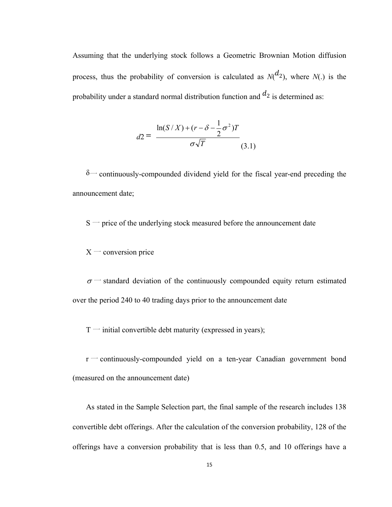Assuming that the underlying stock follows a Geometric Brownian Motion diffusion process, thus the probability of conversion is calculated as  $N(\frac{d_2}{d_1})$ , where  $N(\cdot)$  is the probability under a standard normal distribution function and  $d_2$  is determined as:

$$
d2 = \frac{\ln(S/X) + (r - \delta - \frac{1}{2}\sigma^2)T}{\sigma\sqrt{T}}
$$
(3.1)

 $\delta$  continuously-compounded dividend yield for the fiscal year-end preceding the announcement date;

 $S$  – price of the underlying stock measured before the announcement date

 $X$  – conversion price

 $\sigma$  -standard deviation of the continuously compounded equity return estimated over the period 240 to 40 trading days prior to the announcement date

 $T$  — initial convertible debt maturity (expressed in years);

 $r$  - continuously-compounded yield on a ten-year Canadian government bond (measured on the announcement date)

As stated in the Sample Selection part, the final sample of the research includes 138 convertible debt offerings. After the calculation of the conversion probability, 128 of the offerings have a conversion probability that is less than 0.5, and 10 offerings have a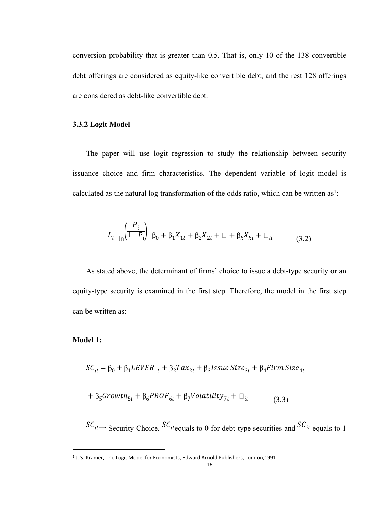conversion probability that is greater than 0.5. That is, only 10 of the 138 convertible debt offerings are considered as equity-like convertible debt, and the rest 128 offerings are considered as debt-like convertible debt.

## <span id="page-20-0"></span>**3.3.2 Logit Model**

The paper will use logit regression to study the relationship between security issuance choice and firm characteristics. The dependent variable of logit model is calculated as the natural log transformation of the odds ratio, which can be written as<sup>1</sup>:

$$
L_{i=\ln}\left(\frac{P_i}{1-P_i}\right)_{=\beta_0} + \beta_1 X_{1t} + \beta_2 X_{2t} + \Box + \beta_k X_{kt} + \Box_{it} \tag{3.2}
$$

As stated above, the determinant of firms' choice to issue a debt-type security or an equity-type security is examined in the first step. Therefore, the model in the first step can be written as:

## **Model 1:**

$$
SC_{it} = \beta_0 + \beta_1 LEVER_{1t} + \beta_2 Tax_{2t} + \beta_3 Issue \, Size_{3t} + \beta_4 Firm \, Size_{4t}
$$

$$
+\beta_5 Growth_{5t} + \beta_6 PROF_{6t} + \beta_7 Volatility_{7t} + \square_{it} \tag{3.3}
$$

 $SC_{it}$  Security Choice.  $SC_{it}$  equals to 0 for debt-type securities and  $SC_{it}$  equals to 1

<sup>&</sup>lt;sup>1</sup> J. S. Kramer, The Logit Model for Economists, Edward Arnold Publishers, London,1991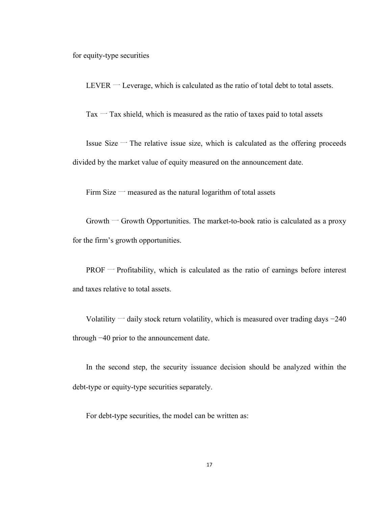for equity-type securities

LEVER  $-$  Leverage, which is calculated as the ratio of total debt to total assets.

Tax  $-$  Tax shield, which is measured as the ratio of taxes paid to total assets

Issue Size  $-$  The relative issue size, which is calculated as the offering proceeds divided by the market value of equity measured on the announcement date.

Firm Size  $-$  measured as the natural logarithm of total assets

Growth  $\sim$  Growth Opportunities. The market-to-book ratio is calculated as a proxy for the firm's growth opportunities.

 $PROF$  – Profitability, which is calculated as the ratio of earnings before interest and taxes relative to total assets.

Volatility — daily stock return volatility, which is measured over trading days  $-240$ through −40 prior to the announcement date.

In the second step, the security issuance decision should be analyzed within the debt-type or equity-type securities separately.

For debt-type securities, the model can be written as: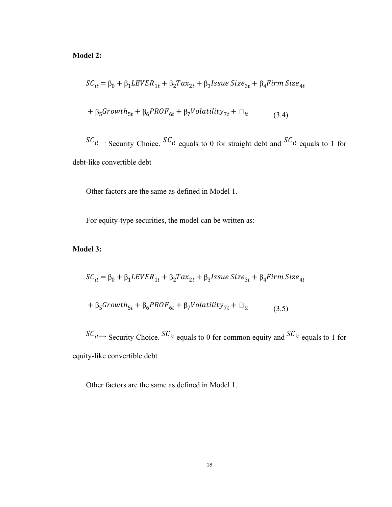**Model 2:**

$$
SC_{it} = \beta_0 + \beta_1 LEVER_{1t} + \beta_2 Tax_{2t} + \beta_3 Issue \, Size_{3t} + \beta_4 Firm \, Size_{4t}
$$

$$
+ \beta_5 Growth_{5t} + \beta_6 PROF_{6t} + \beta_7 Volatility_{7t} + \Box_{it}
$$
(3.4)

 $SC_{it}$  Security Choice.  $SC_{it}$  equals to 0 for straight debt and  $SC_{it}$  equals to 1 for debt-like convertible debt

Other factors are the same as defined in Model 1.

For equity-type securities, the model can be written as:

# **Model 3:**

$$
SC_{it} = \beta_0 + \beta_1 LEVER_{1t} + \beta_2 Tax_{2t} + \beta_3 Issue Size_{3t} + \beta_4 Firm Size_{4t}
$$

$$
+\beta_5 Growth_{5t} + \beta_6 PROF_{6t} + \beta_7 Volatility_{7t} + \square_{it} \tag{3.5}
$$

 $SC_{it}$  Security Choice.  $SC_{it}$  equals to 0 for common equity and  $SC_{it}$  equals to 1 for equity-like convertible debt

Other factors are the same as defined in Model 1.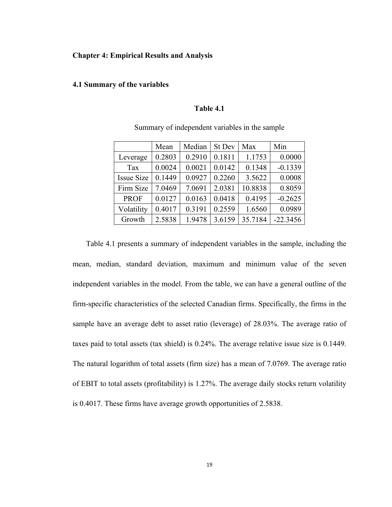#### <span id="page-23-0"></span>**Chapter 4: Empirical Results and Analysis**

## <span id="page-23-1"></span>**4.1 Summary of the variables**

#### **Table 4.1**

|                   | Mean   | Median | <b>St Dev</b> | Max     | Min        |
|-------------------|--------|--------|---------------|---------|------------|
| Leverage          | 0.2803 | 0.2910 | 0.1811        | 1.1753  | 0.0000     |
| Tax               | 0.0024 | 0.0021 | 0.0142        | 0.1348  | $-0.1339$  |
| <b>Issue Size</b> | 0.1449 | 0.0927 | 0.2260        | 3.5622  | 0.0008     |
| Firm Size         | 7.0469 | 7.0691 | 2.0381        | 10.8838 | 0.8059     |
| <b>PROF</b>       | 0.0127 | 0.0163 | 0.0418        | 0.4195  | $-0.2625$  |
| Volatility        | 0.4017 | 0.3191 | 0.2559        | 1.6560  | 0.0989     |
| Growth            | 2.5838 | 1.9478 | 3.6159        | 35.7184 | $-22.3456$ |

Summary of independent variables in the sample

Table 4.1 presents a summary of independent variables in the sample, including the mean, median, standard deviation, maximum and minimum value of the seven independent variables in the model. From the table, we can have a general outline of the firm-specific characteristics of the selected Canadian firms. Specifically, the firms in the sample have an average debt to asset ratio (leverage) of 28.03%. The average ratio of taxes paid to total assets (tax shield) is 0.24%. The average relative issue size is 0.1449. The natural logarithm of total assets (firm size) has a mean of 7.0769. The average ratio of EBIT to total assets (profitability) is 1.27%. The average daily stocks return volatility is 0.4017. These firms have average growth opportunities of 2.5838.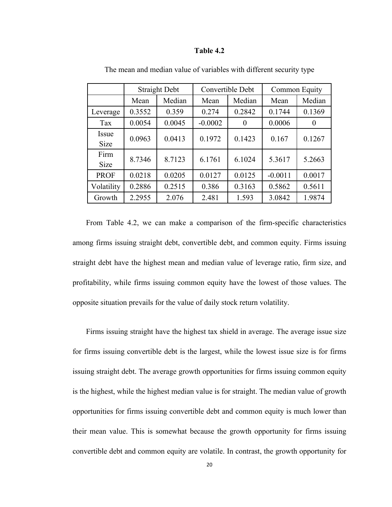#### **Table 4.2**

|                      | <b>Straight Debt</b> |        |           | Convertible Debt | Common Equity |          |  |
|----------------------|----------------------|--------|-----------|------------------|---------------|----------|--|
|                      | Mean                 | Median | Mean      | Median           | Mean          | Median   |  |
| Leverage             | 0.3552               | 0.359  | 0.274     | 0.2842           | 0.1744        | 0.1369   |  |
| Tax                  | 0.0054               | 0.0045 | $-0.0002$ | $\theta$         | 0.0006        | $\theta$ |  |
| Issue<br><b>Size</b> | 0.0963               | 0.0413 | 0.1972    | 0.1423           | 0.167         | 0.1267   |  |
| Firm<br><b>Size</b>  | 8.7346               | 8.7123 | 6.1761    | 6.1024           | 5.3617        | 5.2663   |  |
| <b>PROF</b>          | 0.0218               | 0.0205 | 0.0127    | 0.0125           | $-0.0011$     | 0.0017   |  |
| Volatility           | 0.2886               | 0.2515 | 0.386     | 0.3163           | 0.5862        | 0.5611   |  |
| Growth               | 2.2955               | 2.076  | 2.481     | 1.593            | 3.0842        | 1.9874   |  |

The mean and median value of variables with different security type

From Table 4.2, we can make a comparison of the firm-specific characteristics among firms issuing straight debt, convertible debt, and common equity. Firms issuing straight debt have the highest mean and median value of leverage ratio, firm size, and profitability, while firms issuing common equity have the lowest of those values. The opposite situation prevails for the value of daily stock return volatility.

Firms issuing straight have the highest tax shield in average. The average issue size for firms issuing convertible debt is the largest, while the lowest issue size is for firms issuing straight debt. The average growth opportunities for firms issuing common equity is the highest, while the highest median value is for straight. The median value of growth opportunities for firms issuing convertible debt and common equity is much lower than their mean value. This is somewhat because the growth opportunity for firms issuing convertible debt and common equity are volatile. In contrast, the growth opportunity for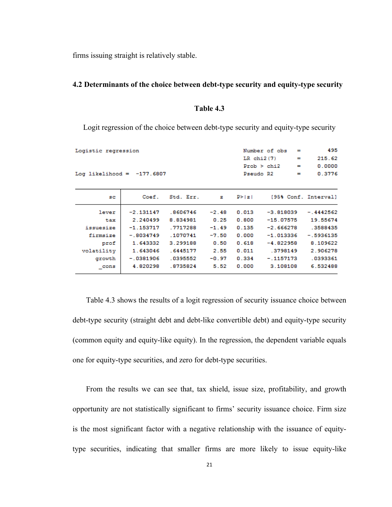firms issuing straight is relatively stable.

## <span id="page-25-0"></span>**4.2 Determinants of the choice between debt-type security and equity-type security**

Logit regression of the choice between debt-type security and equity-type security

| Logistic regression          |             |           |         |                 | Number of obs | $=$      | 495                  |  |
|------------------------------|-------------|-----------|---------|-----------------|---------------|----------|----------------------|--|
|                              |             |           |         | $LR$ chi $2(7)$ |               | $=$      | 215.62               |  |
|                              |             |           |         |                 | Prob > chi2   | $=$      | 0.0000               |  |
| Log likelihood = $-177.6807$ |             |           |         | Pseudo R2       |               | $\equiv$ | 0.3776               |  |
|                              |             |           |         |                 |               |          |                      |  |
| sc                           | Coef.       | Std. Err. | z       | P >  z          |               |          | [95% Conf. Interval] |  |
| lever                        | $-2.131147$ | .8606746  | $-2.48$ | 0.013           | $-3.818039$   |          | $-.4442562$          |  |
| tax                          | 2.240499    | 8.834981  | 0.25    | 0.800           | $-15.07575$   |          | 19.55674             |  |
| issuesize                    | $-1.153717$ | .7717288  | $-1.49$ | 0.135           | $-2.666278$   |          | .3588435             |  |
| firmsize                     | $-.8034749$ | .1070741  | $-7.50$ | 0.000           | $-1.013336$   |          | $-.5936135$          |  |
| prof                         | 1.643332    | 3.299188  | 0.50    | 0.618           | $-4.822958$   |          | 8.109622             |  |
| volatility                   | 1.643046    | .6445177  | 2.55    | 0.011           | .3798149      |          | 2.906278             |  |
| growth                       | $-.0381906$ | .0395552  | $-0.97$ | 0.334           | $-.1157173$   |          | .0393361             |  |
| cons                         | 4.820298    | .8735824  | 5.52    | 0.000           | 3.108108      |          | 6.532488             |  |

Table 4.3 shows the results of a logit regression of security issuance choice between debt-type security (straight debt and debt-like convertible debt) and equity-type security (common equity and equity-like equity). In the regression, the dependent variable equals one for equity-type securities, and zero for debt-type securities.

From the results we can see that, tax shield, issue size, profitability, and growth opportunity are not statistically significant to firms' security issuance choice. Firm size is the most significant factor with a negative relationship with the issuance of equitytype securities, indicating that smaller firms are more likely to issue equity-like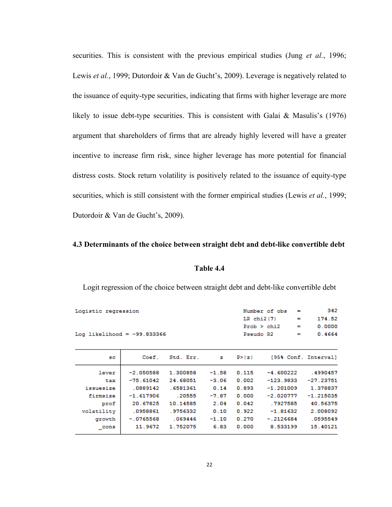securities. This is consistent with the previous empirical studies (Jung *et al.*, 1996; Lewis *et al.*, 1999; Dutordoir & Van de Gucht's, 2009). Leverage is negatively related to the issuance of equity-type securities, indicating that firms with higher leverage are more likely to issue debt-type securities. This is consistent with Galai & Masulis's (1976) argument that shareholders of firms that are already highly levered will have a greater incentive to increase firm risk, since higher leverage has more potential for financial distress costs. Stock return volatility is positively related to the issuance of equity-type securities, which is still consistent with the former empirical studies (Lewis *et al.*, 1999; Dutordoir & Van de Gucht's, 2009).

## <span id="page-26-0"></span>**4.3 Determinants of the choice between straight debt and debt-like convertible debt**

#### **Table 4.4**

| Logistic regression           |             |           |         |           | Number of obs<br>$\equiv$ |          |                      |  |
|-------------------------------|-------------|-----------|---------|-----------|---------------------------|----------|----------------------|--|
|                               |             |           |         |           | $LR$ chi $2(7)$           | ▄        | 174.52               |  |
|                               |             |           |         |           | Prob > chi2               | $\equiv$ | 0.0000               |  |
| $Log likelinood = -99.833366$ |             |           |         | Pseudo R2 |                           | $=$      | 0.4664               |  |
|                               |             |           |         |           |                           |          |                      |  |
| sc.                           | Coef.       | Std. Err. | z       | P >  z    |                           |          | [95% Conf. Interval] |  |
| lever                         | $-2.050588$ | 1.300858  | $-1.58$ | 0.115     | $-4.600222$               |          | .4990457             |  |
| tax                           | $-75.61042$ | 24.68051  | $-3.06$ | 0.002     | $-123.9833$               |          | $-27.23751$          |  |
| issuesize                     | .0889142    | .6581361  | 0.14    | 0.893     | $-1.201009$               |          | 1.378837             |  |
| firmsize                      | $-1.617906$ | .20555    | $-7.87$ | 0.000     | $-2.020777$               |          | $-1.215035$          |  |
| prof                          | 20.67825    | 10.14585  | 2.04    | 0.042     | .7927585                  |          | 40.56375             |  |
| volatility                    | .0958861    | .9756332  | 0.10    | 0.922     | $-1.81632$                |          | 2.008092             |  |
| growth                        | $-.0765568$ | .069446   | $-1.10$ | 0.270     | $-.2126684$               |          | .0595549             |  |
| $_{\text{-cons}}$             | 11.9672     | 1.752075  | 6.83    | 0.000     | 8.533199                  |          | 15.40121             |  |

Logit regression of the choice between straight debt and debt-like convertible debt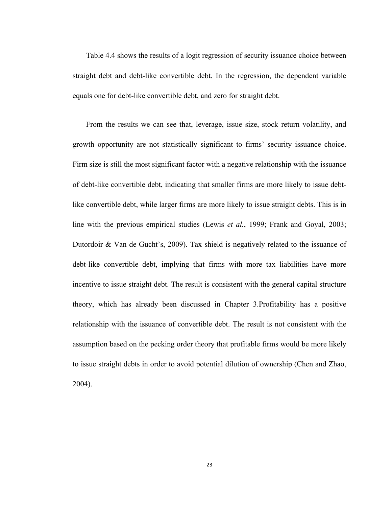Table 4.4 shows the results of a logit regression of security issuance choice between straight debt and debt-like convertible debt. In the regression, the dependent variable equals one for debt-like convertible debt, and zero for straight debt.

From the results we can see that, leverage, issue size, stock return volatility, and growth opportunity are not statistically significant to firms' security issuance choice. Firm size is still the most significant factor with a negative relationship with the issuance of debt-like convertible debt, indicating that smaller firms are more likely to issue debtlike convertible debt, while larger firms are more likely to issue straight debts. This is in line with the previous empirical studies (Lewis *et al.*, 1999; Frank and Goyal, 2003; Dutordoir & Van de Gucht's, 2009). Tax shield is negatively related to the issuance of debt-like convertible debt, implying that firms with more tax liabilities have more incentive to issue straight debt. The result is consistent with the general capital structure theory, which has already been discussed in Chapter 3.Profitability has a positive relationship with the issuance of convertible debt. The result is not consistent with the assumption based on the pecking order theory that profitable firms would be more likely to issue straight debts in order to avoid potential dilution of ownership (Chen and Zhao, 2004).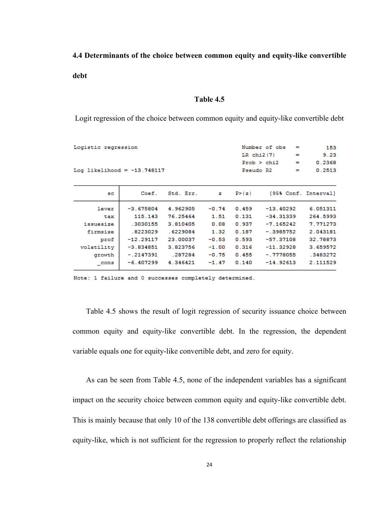<span id="page-28-0"></span>**4.4 Determinants of the choice between common equity and equity-like convertible debt**

## **Table 4.5**

Logit regression of the choice between common equity and equity-like convertible debt

| Logistic regression           |             |           |         |           | Number of obs   | $=$      | 153                  |
|-------------------------------|-------------|-----------|---------|-----------|-----------------|----------|----------------------|
|                               |             |           |         |           | $LR$ chi $2(7)$ | ≕        | 9.23                 |
|                               |             |           |         |           | Prob > chi2     | $=$      | 0.2368               |
| Log likelihood = $-13.748117$ |             |           |         | Pseudo R2 |                 | $\equiv$ | 0.2513               |
|                               |             |           |         |           |                 |          |                      |
| sc                            | Coef.       | Std. Err. | z       | P >  z    |                 |          | [95% Conf. Interval] |
| lever                         | $-3.675804$ | 4.962905  | $-0.74$ | 0.459     | $-13.40292$     |          | 6.051311             |
| tax                           | 115.143     | 76.25464  | 1.51    | 0.131     | $-34.31339$     |          | 264.5993             |
| issuesize                     | .3030155    | 3.810405  | 0.08    | 0.937     | $-7.165242$     |          | 7.771273             |
| firmsize                      | .8223029    | .6229084  | 1.32    | 0.187     | $-.3985752$     |          | 2.043181             |
| prof                          | $-12.29117$ | 23.00037  | $-0.53$ | 0.593     | $-57.37108$     |          | 32.78873             |
| volatility                    | $-3.834851$ | 3.823756  | $-1.00$ | 0.316     | $-11.32928$     |          | 3.659572             |
| growth                        | $-.2147391$ | .287284   | $-0.75$ | 0.455     | $-.7778055$     |          | .3483272             |
| cons                          | $-6.407299$ | 4.346421  | $-1.47$ | 0.140     | $-14.92613$     |          | 2.111529             |

Note: 1 failure and 0 successes completely determined.

Table 4.5 shows the result of logit regression of security issuance choice between common equity and equity-like convertible debt. In the regression, the dependent variable equals one for equity-like convertible debt, and zero for equity.

As can be seen from Table 4.5, none of the independent variables has a significant impact on the security choice between common equity and equity-like convertible debt. This is mainly because that only 10 of the 138 convertible debt offerings are classified as equity-like, which is not sufficient for the regression to properly reflect the relationship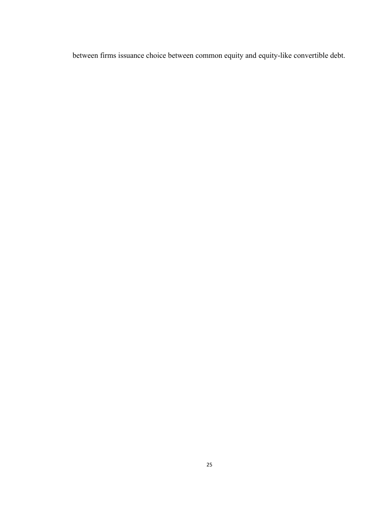between firms issuance choice between common equity and equity-like convertible debt.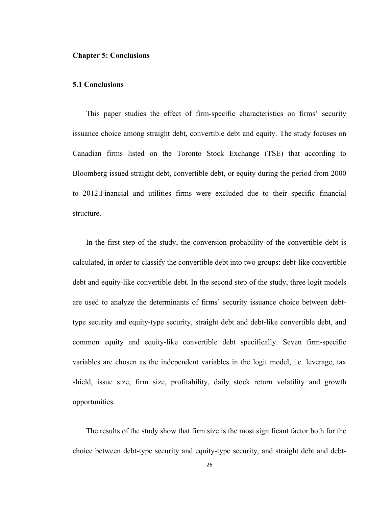#### <span id="page-30-0"></span>**Chapter 5: Conclusions**

#### <span id="page-30-1"></span>**5.1 Conclusions**

This paper studies the effect of firm-specific characteristics on firms' security issuance choice among straight debt, convertible debt and equity. The study focuses on Canadian firms listed on the Toronto Stock Exchange (TSE) that according to Bloomberg issued straight debt, convertible debt, or equity during the period from 2000 to 2012.Financial and utilities firms were excluded due to their specific financial structure.

In the first step of the study, the conversion probability of the convertible debt is calculated, in order to classify the convertible debt into two groups: debt-like convertible debt and equity-like convertible debt. In the second step of the study, three logit models are used to analyze the determinants of firms' security issuance choice between debttype security and equity-type security, straight debt and debt-like convertible debt, and common equity and equity-like convertible debt specifically. Seven firm-specific variables are chosen as the independent variables in the logit model, i.e. leverage, tax shield, issue size, firm size, profitability, daily stock return volatility and growth opportunities.

The results of the study show that firm size is the most significant factor both for the choice between debt-type security and equity-type security, and straight debt and debt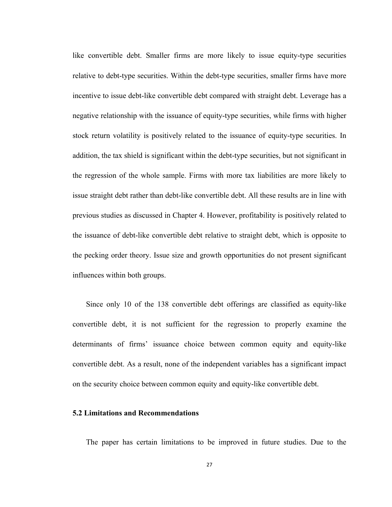like convertible debt. Smaller firms are more likely to issue equity-type securities relative to debt-type securities. Within the debt-type securities, smaller firms have more incentive to issue debt-like convertible debt compared with straight debt. Leverage has a negative relationship with the issuance of equity-type securities, while firms with higher stock return volatility is positively related to the issuance of equity-type securities. In addition, the tax shield is significant within the debt-type securities, but not significant in the regression of the whole sample. Firms with more tax liabilities are more likely to issue straight debt rather than debt-like convertible debt. All these results are in line with previous studies as discussed in Chapter 4. However, profitability is positively related to the issuance of debt-like convertible debt relative to straight debt, which is opposite to the pecking order theory. Issue size and growth opportunities do not present significant influences within both groups.

Since only 10 of the 138 convertible debt offerings are classified as equity-like convertible debt, it is not sufficient for the regression to properly examine the determinants of firms' issuance choice between common equity and equity-like convertible debt. As a result, none of the independent variables has a significant impact on the security choice between common equity and equity-like convertible debt.

## <span id="page-31-0"></span>**5.2 Limitations and Recommendations**

The paper has certain limitations to be improved in future studies. Due to the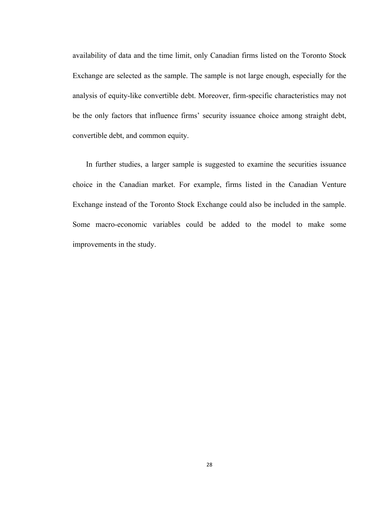availability of data and the time limit, only Canadian firms listed on the Toronto Stock Exchange are selected as the sample. The sample is not large enough, especially for the analysis of equity-like convertible debt. Moreover, firm-specific characteristics may not be the only factors that influence firms' security issuance choice among straight debt, convertible debt, and common equity.

In further studies, a larger sample is suggested to examine the securities issuance choice in the Canadian market. For example, firms listed in the Canadian Venture Exchange instead of the Toronto Stock Exchange could also be included in the sample. Some macro-economic variables could be added to the model to make some improvements in the study.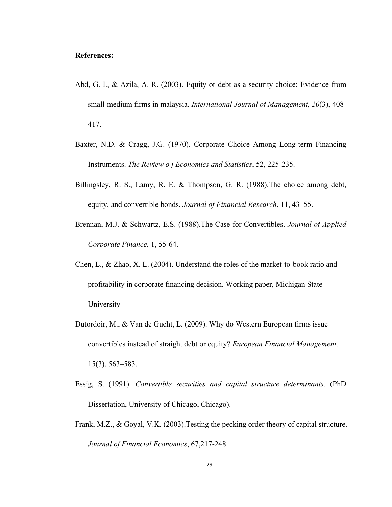#### <span id="page-33-0"></span>**References:**

- Abd, G. I., & Azila, A. R. (2003). Equity or debt as a security choice: Evidence from small-medium firms in malaysia. *International Journal of Management, 20*(3), 408- 417.
- Baxter, N.D. & Cragg, J.G. (1970). Corporate Choice Among Long-term Financing Instruments. *The Review o f Economics and Statistics*, 52, 225-235.
- Billingsley, R. S., Lamy, R. E. & Thompson, G. R. (1988).The choice among debt, equity, and convertible bonds. *Journal of Financial Research*, 11, 43–55.
- Brennan, M.J. & Schwartz, E.S. (1988).The Case for Convertibles. *Journal of Applied Corporate Finance,* 1, 55-64.
- Chen, L., & Zhao, X. L. (2004). Understand the roles of the market-to-book ratio and profitability in corporate financing decision. Working paper, Michigan State University
- Dutordoir, M., & Van de Gucht, L. (2009). Why do Western European firms issue convertibles instead of straight debt or equity? *European Financial Management,* 15(3), 563–583.
- Essig, S. (1991). *Convertible securities and capital structure determinants.* (PhD Dissertation, University of Chicago, Chicago).
- Frank, M.Z., & Goyal, V.K. (2003).Testing the pecking order theory of capital structure. *Journal of Financial Economics*, 67,217-248.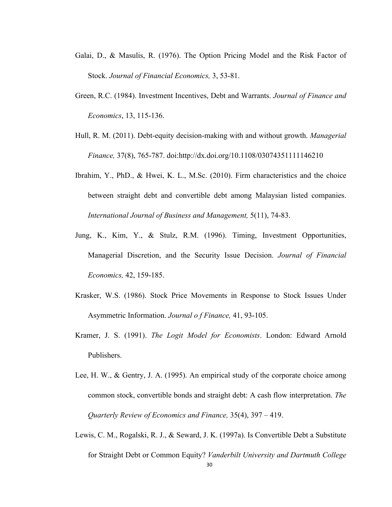- Galai, D., & Masulis, R. (1976). The Option Pricing Model and the Risk Factor of Stock. *Journal of Financial Economics,* 3, 53-81.
- Green, R.C. (1984). Investment Incentives, Debt and Warrants. *Journal of Finance and Economics*, 13, 115-136.
- Hull, R. M. (2011). Debt-equity decision-making with and without growth. *Managerial Finance,* 37(8), 765-787. doi:http://dx.doi.org/10.1108/03074351111146210
- Ibrahim, Y., PhD., & Hwei, K. L., M.Sc. (2010). Firm characteristics and the choice between straight debt and convertible debt among Malaysian listed companies. *International Journal of Business and Management,* 5(11), 74-83.
- Jung, K., Kim, Y., & Stulz, R.M. (1996). Timing, Investment Opportunities, Managerial Discretion, and the Security Issue Decision. *Journal of Financial Economics,* 42, 159-185.
- Krasker, W.S. (1986). Stock Price Movements in Response to Stock Issues Under Asymmetric Information. *Journal o f Finance,* 41, 93-105.
- Kramer, J. S. (1991). *The Logit Model for Economists*. London: Edward Arnold Publishers.
- Lee, H. W., & Gentry, J. A. (1995). An empirical study of the corporate choice among common stock, convertible bonds and straight debt: A cash flow interpretation. *The Quarterly Review of Economics and Finance,* 35(4), 397 – 419.
- 30 Lewis, C. M., Rogalski, R. J., & Seward, J. K. (1997a). Is Convertible Debt a Substitute for Straight Debt or Common Equity? *Vanderbilt University and Dartmuth College*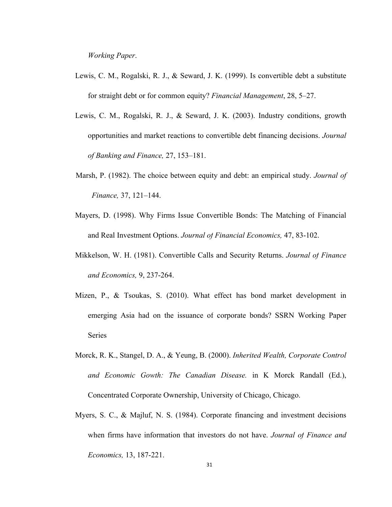*Working Paper*.

- Lewis, C. M., Rogalski, R. J., & Seward, J. K. (1999). Is convertible debt a substitute for straight debt or for common equity? *Financial Management*, 28, 5–27.
- Lewis, C. M., Rogalski, R. J., & Seward, J. K. (2003). Industry conditions, growth opportunities and market reactions to convertible debt financing decisions. *Journal of Banking and Finance,* 27, 153–181.
- Marsh, P. (1982). The choice between equity and debt: an empirical study. *Journal of Finance,* 37, 121–144.
- Mayers, D. (1998). Why Firms Issue Convertible Bonds: The Matching of Financial and Real Investment Options. *Journal of Financial Economics,* 47, 83-102.
- Mikkelson, W. H. (1981). Convertible Calls and Security Returns. *Journal of Finance and Economics,* 9, 237-264.
- Mizen, P., & Tsoukas, S. (2010). What effect has bond market development in emerging Asia had on the issuance of corporate bonds? SSRN Working Paper Series
- Morck, R. K., Stangel, D. A., & Yeung, B. (2000). *Inherited Wealth, Corporate Control and Economic Gowth: The Canadian Disease.* in K Morck Randall (Ed.), Concentrated Corporate Ownership, University of Chicago, Chicago.
- Myers, S. C., & Majluf, N. S. (1984). Corporate financing and investment decisions when firms have information that investors do not have. *Journal of Finance and Economics,* 13, 187-221.